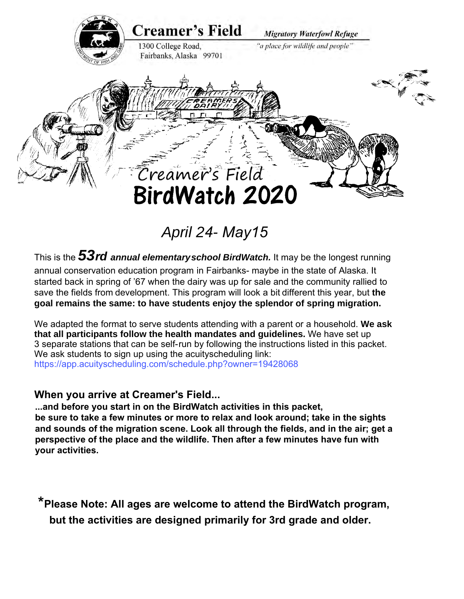

# *April 24- May15*

This is the *53rd annual elementary school BirdWatch.* It may be the longest running

annual conservation education program in Fairbanks- maybe in the state of Alaska. It started back in spring of '67 when the dairy was up for sale and the community rallied to save the fields from development. This program will look a bit different this year, but **the goal remains the same: to have students enjoy the splendor of spring migration.** 

We adapted the format to serve students attending with a parent or a household. **We ask that all participants follow the health mandates and guidelines.** We have set up 3 separate stations that can be self-run by following the instructions listed in this packet. We ask students to sign up using the acuityscheduling link: https://app.acuityscheduling.com/schedule.php?owner=19428068

#### **When you arrive at Creamer's Field...**

**...and before you start in on the BirdWatch activities in this packet, be sure to take a few minutes or more to relax and look around; take in the sights and sounds of the migration scene. Look all through the fields, and in the air; get a perspective of the place and the wildlife. Then after a few minutes have fun with your activities.** 

**\*Please Note: All ages are welcome to attend the BirdWatch program, but the activities are designed primarily for 3rd grade and older.**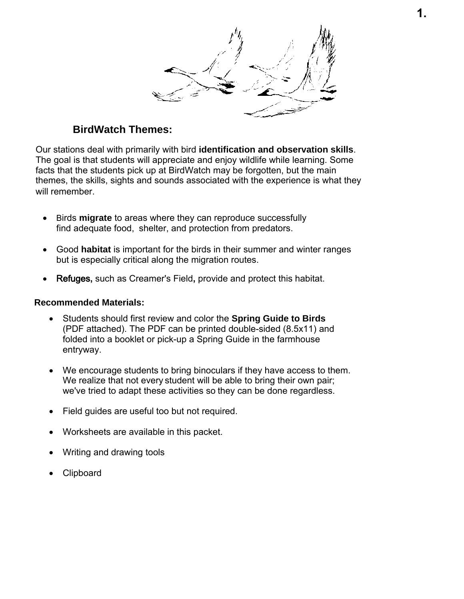#### **BirdWatch Themes:**

Our stations deal with primarily with bird **identification and observation skills**. The goal is that students will appreciate and enjoy wildlife while learning. Some facts that the students pick up at BirdWatch may be forgotten, but the main themes, the skills, sights and sounds associated with the experience is what they will remember.

- Birds **migrate** to areas where they can reproduce successfully find adequate food, shelter, and protection from predators.
- Good **habitat** is important for the birds in their summer and winter ranges but is especially critical along the migration routes.
- Refuges**,** such as Creamer's Field**,** provide and protect this habitat.

#### **Recommended Materials:**

- Students should first review and color the **Spring Guide to Birds** (PDF attached). The PDF can be printed double-sided (8.5x11) and folded into a booklet or pick-up a Spring Guide in the farmhouse entryway.
- We encourage students to bring binoculars if they have access to them. We realize that not every student will be able to bring their own pair; we've tried to adapt these activities so they can be done regardless.
- Field guides are useful too but not required.
- Worksheets are available in this packet.
- Writing and drawing tools
- Clipboard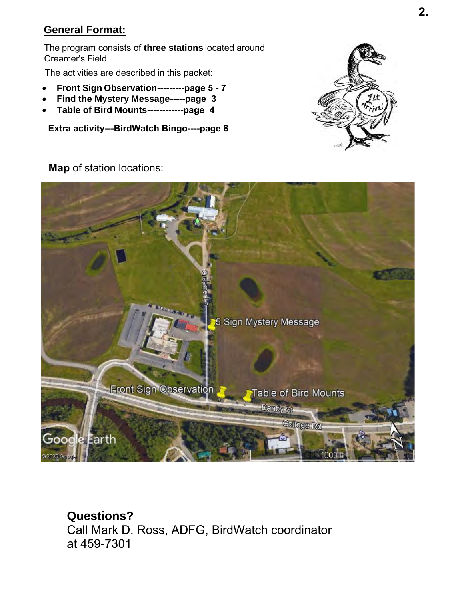#### **General Format:**

The program consists of **three stations** located around Creamer's Field

The activities are described in this packet:

- **Front Sign Observation---------page 5 7**
- **Find the Mystery Message-----page 3**
- **Table of Bird Mounts------------page 4**

**Extra activity---BirdWatch Bingo----page 8**



**Map** of station locations:



**Questions?**  Call Mark D. Ross, ADFG, BirdWatch coordinator at 459-7301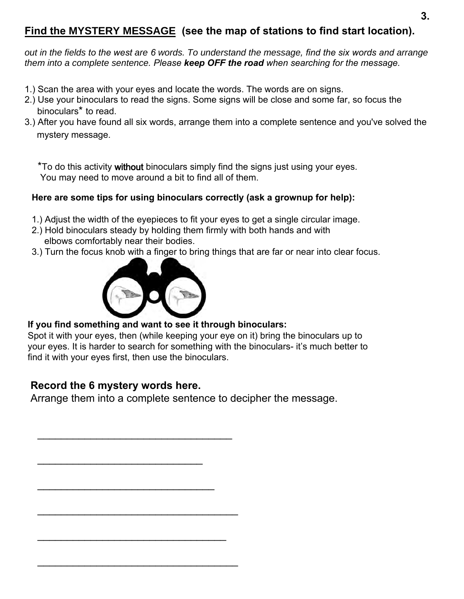# **Find the MYSTERY MESSAGE (see the map of stations to find start location).**

*out in the fields to the west are 6 words. To understand the message, find the six words and arrange them into a complete sentence. Please keep OFF the road when searching for the message.*

- 1.) Scan the area with your eyes and locate the words. The words are on signs.
- 2.) Use your binoculars to read the signs. Some signs will be close and some far, so focus the binoculars\* to read.
- 3.) After you have found all six words, arrange them into a complete sentence and you've solved the mystery message.

\*To do this activity without binoculars simply find the signs just using your eyes. You may need to move around a bit to find all of them.

#### **Here are some tips for using binoculars correctly (ask a grownup for help):**

- 1.) Adjust the width of the eyepieces to fit your eyes to get a single circular image.
- 2.) Hold binoculars steady by holding them firmly with both hands and with elbows comfortably near their bodies.
- 3.) Turn the focus knob with a finger to bring things that are far or near into clear focus.



#### **If you find something and want to see it through binoculars:**

Spot it with your eyes, then (while keeping your eye on it) bring the binoculars up to your eyes. It is harder to search for something with the binoculars- it's much better to find it with your eyes first, then use the binoculars.

### **Record the 6 mystery words here.**

Arrange them into a complete sentence to decipher the message.

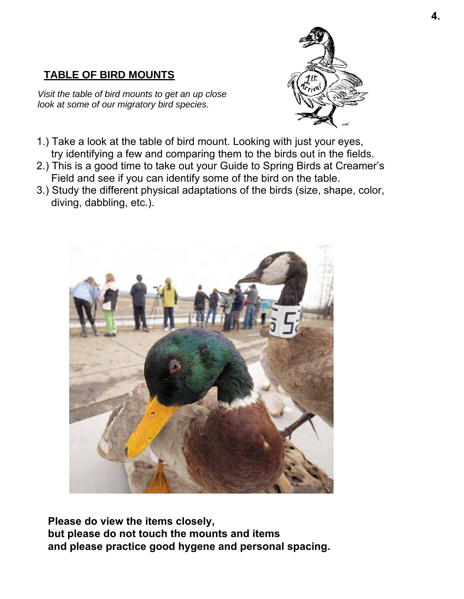# **TABLE OF BIRD MOUNTS**

*Visit the table of bird mounts to get an up close look at some of our migratory bird species.*



- 1.) Take a look at the table of bird mount. Looking with just your eyes, try identifying a few and comparing them to the birds out in the fields.
- 2.) This is a good time to take out your Guide to Spring Birds at Creamer's Field and see if you can identify some of the bird on the table.
- 3.) Study the different physical adaptations of the birds (size, shape, color, diving, dabbling, etc.).



**Please do view the items closely, but please do not touch the mounts and items and please practice good hygene and personal spacing.**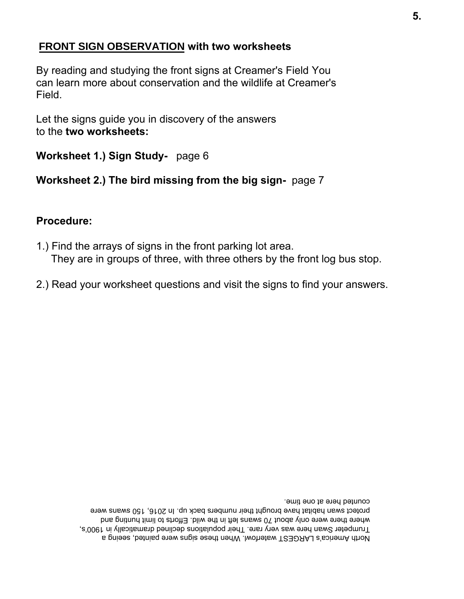### **FRONT SIGN OBSERVATION with two worksheets**

By reading and studying the front signs at Creamer's Field You can learn more about conservation and the wildlife at Creamer's Field.

Let the signs guide you in discovery of the answers to the **two worksheets:**

**Worksheet 1.) Sign Study-** page 6

## **Worksheet 2.) The bird missing from the big sign-** page 7

#### **Procedure:**

- 1.) Find the arrays of signs in the front parking lot area. They are in groups of three, with three others by the front log bus stop.
- 2.) Read your worksheet questions and visit the signs to find your answers.

North America's LARGEST waterfowl. When these signs were painted, seeing a Trumpeter Swan here was very rare. Their populations declined dramatically in 1900's, where there were only about 70 swans left in the wild. Efforts of limit hunting and protect swan habitat have brought their numbers back up. In 2016, 150 swans were counted here at one time.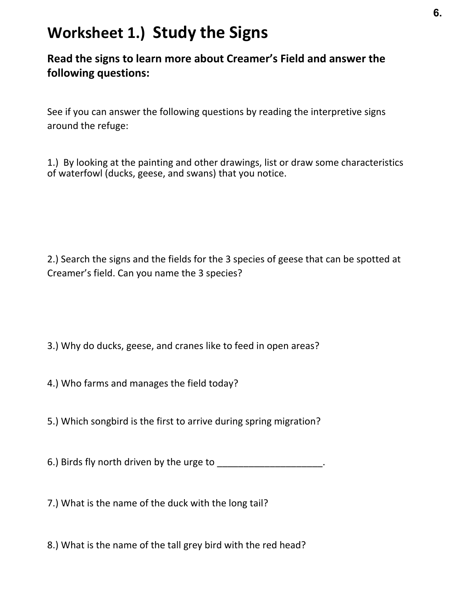# **Worksheet 1.) Study the Signs**

# **Read the signs to learn more about Creamer's Field and answer the following questions:**

See if you can answer the following questions by reading the interpretive signs around the refuge:

1.) By looking at the painting and other drawings, list or draw some characteristics of waterfowl (ducks, geese, and swans) that you notice.

2.) Search the signs and the fields for the 3 species of geese that can be spotted at Creamer's field. Can you name the 3 species?

- 3.) Why do ducks, geese, and cranes like to feed in open areas?
- 4.) Who farms and manages the field today?
- 5.) Which songbird is the first to arrive during spring migration?

6.) Birds fly north driven by the urge to \_\_\_\_\_\_\_\_\_\_\_\_\_\_\_\_\_\_\_\_\_\_.

- 7.) What is the name of the duck with the long tail?
- 8.) What is the name of the tall grey bird with the red head?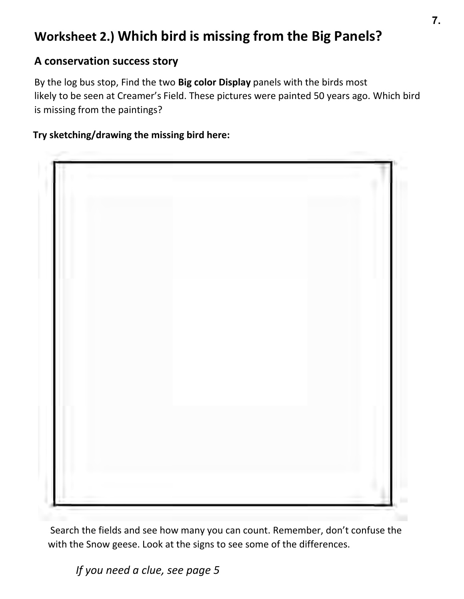# **Worksheet 2.) Which bird is missing from the Big Panels?**

# **A conservation success story**

By the log bus stop, Find the two **Big color Display** panels with the birds most likely to be seen at Creamer's Field. These pictures were painted 50 years ago. Which bird is missing from the paintings?

#### **Try sketching/drawing the missing bird here:**



Search the fields and see how many you can count. Remember, don't confuse the with the Snow geese. Look at the signs to see some of the differences.

*If you need a clue, see page 5*